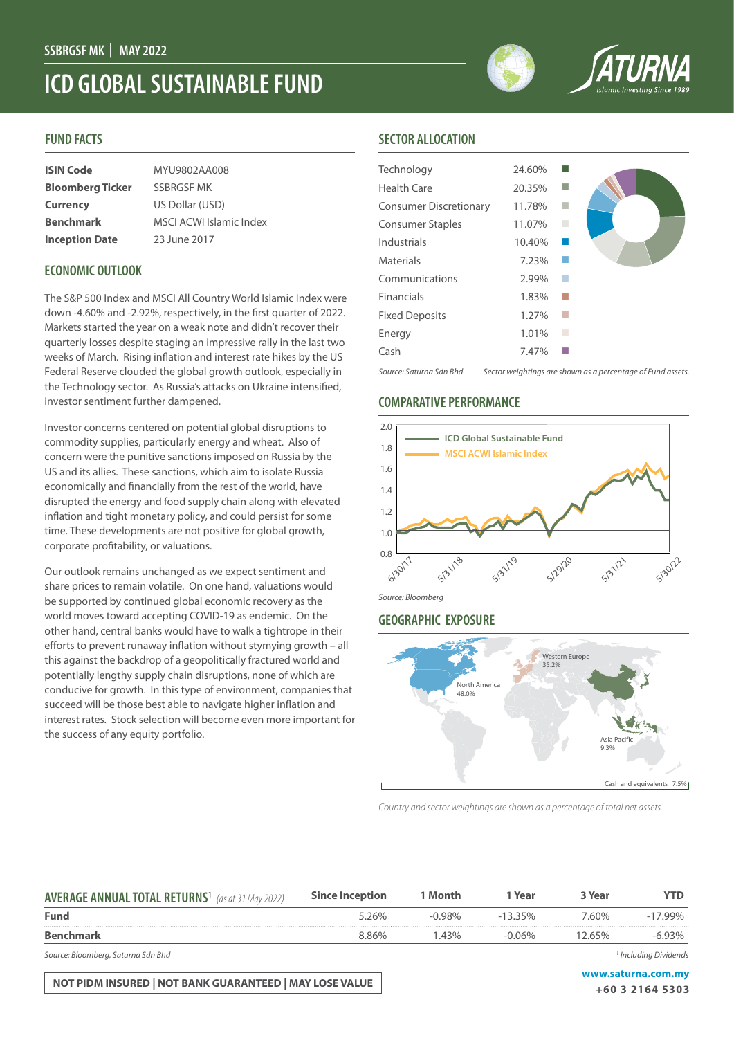# **ICD GLOBAL SUSTAINABLE FUND**

#### **FUND FACTS**

| <b>ISIN Code</b>        | MYU9802AA008                   |
|-------------------------|--------------------------------|
| <b>Bloomberg Ticker</b> | <b>SSBRGSF MK</b>              |
| <b>Currency</b>         | US Dollar (USD)                |
| <b>Benchmark</b>        | <b>MSCI ACWI Islamic Index</b> |
| <b>Inception Date</b>   | 23 June 2017                   |

### **ECONOMIC OUTLOOK**

The S&P 500 Index and MSCI All Country World Islamic Index were down -4.60% and -2.92%, respectively, in the first quarter of 2022. Markets started the year on a weak note and didn't recover their quarterly losses despite staging an impressive rally in the last two weeks of March. Rising inflation and interest rate hikes by the US Federal Reserve clouded the global growth outlook, especially in the Technology sector. As Russia's attacks on Ukraine intensified, investor sentiment further dampened.

Investor concerns centered on potential global disruptions to commodity supplies, particularly energy and wheat. Also of concern were the punitive sanctions imposed on Russia by the US and its allies. These sanctions, which aim to isolate Russia economically and financially from the rest of the world, have disrupted the energy and food supply chain along with elevated inflation and tight monetary policy, and could persist for some time. These developments are not positive for global growth, corporate profitability, or valuations.

Our outlook remains unchanged as we expect sentiment and share prices to remain volatile. On one hand, valuations would be supported by continued global economic recovery as the world moves toward accepting COVID-19 as endemic. On the other hand, central banks would have to walk a tightrope in their efforts to prevent runaway inflation without stymying growth – all this against the backdrop of a geopolitically fractured world and potentially lengthy supply chain disruptions, none of which are conducive for growth. In this type of environment, companies that succeed will be those best able to navigate higher inflation and interest rates. Stock selection will become even more important for the success of any equity portfolio.

#### **SECTOR ALLOCATION**

| Technology                    | 24.60% |   |                                                             |
|-------------------------------|--------|---|-------------------------------------------------------------|
| <b>Health Care</b>            | 20.35% |   |                                                             |
| <b>Consumer Discretionary</b> | 11.78% |   |                                                             |
| <b>Consumer Staples</b>       | 11.07% |   |                                                             |
| Industrials                   | 10.40% |   |                                                             |
| <b>Materials</b>              | 7.23%  |   |                                                             |
| Communications                | 2.99%  |   |                                                             |
| Financials                    | 1.83%  |   |                                                             |
| <b>Fixed Deposits</b>         | 1.27%  |   |                                                             |
| Energy                        | 1.01%  | П |                                                             |
| Cash                          | 7.47%  |   |                                                             |
| Source: Saturna Sdn Bhd       |        |   | Sector weightings are shown as a percentage of Fund assets. |

### **COMPARATIVE PERFORMANCE**



#### *Source: Bloomberg*

#### **GEOGRAPHIC EXPOSURE**



*Country and sector weightings are shown as a percentage of total net assets.*

| <b>AVERAGE ANNUAL TOTAL RETURNS<sup>1</sup></b> (as at 31 May 2022) | <b>Since Inception</b> | 1 Month   | 1 Year     | 3 Year | YTD        |
|---------------------------------------------------------------------|------------------------|-----------|------------|--------|------------|
| <b>Fund</b>                                                         | 5.26%                  | $-0.98\%$ | $-13.35\%$ | 7.60%  | $-17.99\%$ |
| <b>Benchmark</b>                                                    | 8.86%                  | $-43%$    | $-0.06\%$  | 12.65% | $-6.93\%$  |
|                                                                     |                        |           |            |        |            |

*Source: Bloomberg, Saturna Sdn Bhd 1*

**NOT PIDM INSURED | NOT BANK GUARANTEED | MAY LOSE VALUE WAS ARRIVED AND MY WAS A LOSE OF A STAR FOOT** 

 *Including Dividends*

**+60 3 2164 5303**